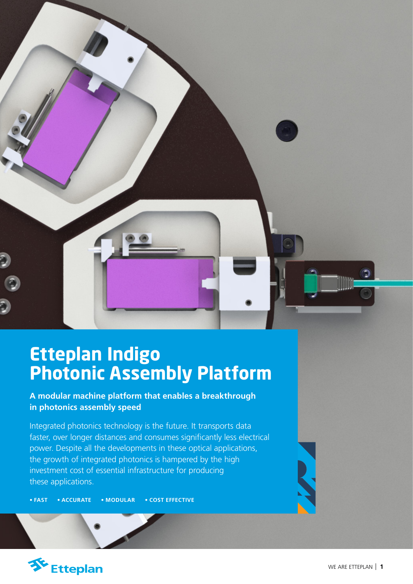

# **Etteplan Indigo Photonic Assembly Platform**

**A modular machine platform that enables a breakthrough in photonics assembly speed**

Integrated photonics technology is the future. It transports data faster, over longer distances and consumes significantly less electrical power. Despite all the developments in these optical applications, the growth of integrated photonics is hampered by the high investment cost of essential infrastructure for producing these applications.

**• FAST • ACCURATE • MODULAR • COST EFFECTIVE**

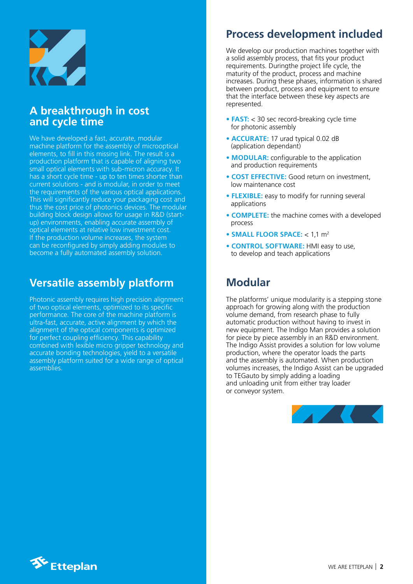

### **A breakthrough in cost and cycle time**

We have developed a fast, accurate, modular machine platform for the assembly of microoptical elements, to fill in this missing link. The result is a production platform that is capable of aligning two small optical elements with sub-micron accuracy. It has a short cycle time - up to ten times shorter than current solutions - and is modular, in order to meet the requirements of the various optical applications. This will significantly reduce your packaging cost and thus the cost price of photonics devices. The modular building block design allows for usage in R&D (startup) environments, enabling accurate assembly of optical elements at relative low investment cost. If the production volume increases, the system can be reconfigured by simply adding modules to become a fully automated assembly solution.

### **Versatile assembly platform**

Photonic assembly requires high precision alignment of two optical elements, optimized to its specific performance. The core of the machine platform is ultra-fast, accurate, active alignment by which the alignment of the optical components is optimized for perfect coupling efficiency. This capability combined with lexible micro gripper technology and accurate bonding technologies, yield to a versatile assembly platform suited for a wide range of optical assemblies.

# **Process development included**

We develop our production machines together with a solid assembly process, that fits your product requirements. Duringthe project life cycle, the maturity of the product, process and machine increases. During these phases, information is shared between product, process and equipment to ensure that the interface between these key aspects are represented.

- **FAST:** < 30 sec record-breaking cycle time for photonic assembly
- **ACCURATE:** 17 urad typical 0.02 dB (application dependant)
- **MODULAR:** configurable to the application and production requirements
- **COST EFFECTIVE:** Good return on investment, low maintenance cost
- **FLEXIBLE:** easy to modify for running several applications
- **COMPLETE:** the machine comes with a developed process
- **SMALL FLOOR SPACE:** < 1,1 m2
- **CONTROL SOFTWARE:** HMI easy to use, to develop and teach applications

# **Modular**

The platforms' unique modularity is a stepping stone approach for growing along with the production volume demand, from research phase to fully automatic production without having to invest in new equipment. The Indigo Man provides a solution for piece by piece assembly in an R&D environment. The Indigo Assist provides a solution for low volume production, where the operator loads the parts and the assembly is automated. When production volumes increases, the Indigo Assist can be upgraded to TEGauto by simply adding a loading and unloading unit from either tray loader or conveyor system.



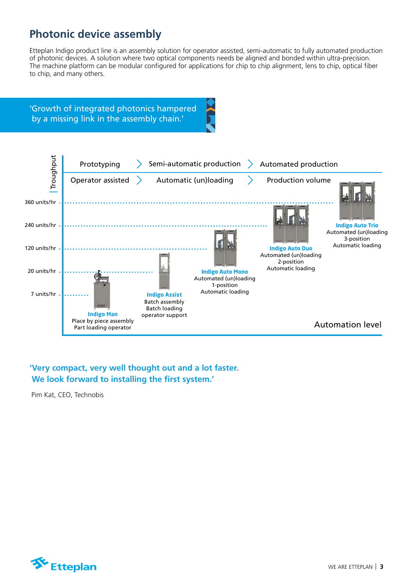# **Photonic device assembly**

Etteplan Indigo product line is an assembly solution for operator assisted, semi-automatic to fully automated production of photonic devices. A solution where two optical components needs be aligned and bonded within ultra-precision. The machine platform can be modular configured for applications for chip to chip alignment, lens to chip, optical fiber to chip, and many others.



#### **'Very compact, very well thought out and a lot faster. We look forward to installing the first system.'**

Pim Kat, CEO, Technobis

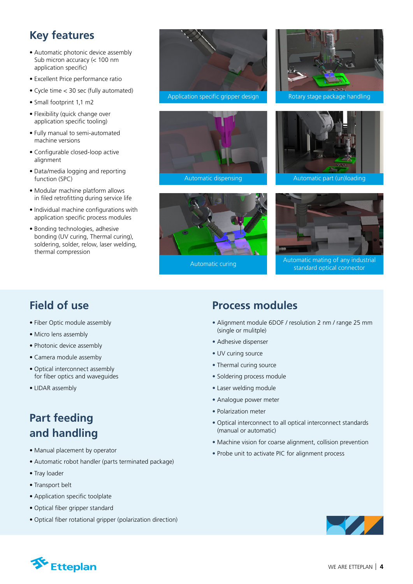# **Key features**

- Automatic photonic device assembly Sub micron accuracy (< 100 nm application specific)
- Excellent Price performance ratio
- Cycle time < 30 sec (fully automated)
- Small footprint 1,1 m2
- Flexibility (quick change over application specific tooling)
- Fully manual to semi-automated machine versions
- Configurable closed-loop active alignment
- Data/media logging and reporting function (SPC)
- Modular machine platform allows in filed retrofitting during service life
- Individual machine configurations with application specific process modules
- Bonding technologies, adhesive bonding (UV curing, Thermal curing), soldering, solder, relow, laser welding, thermal compression



Application specific gripper design **Rotary stage package handling** 



Automatic dispensing







Automatic part (un)loading



Automatic curing Automatic mating of any industrial standard optical connector

# **Field of use**

- Fiber Optic module assembly
- Micro lens assembly
- Photonic device assembly
- Camera module assemby
- Optical interconnect assembly for fiber optics and waveguides
- LIDAR assembly

# **Part feeding and handling**

- Manual placement by operator
- Automatic robot handler (parts terminated package)
- Tray loader
- Transport belt
- Application specific toolplate
- Optical fiber gripper standard
- Optical fiber rotational gripper (polarization direction)

### **Process modules**

- Alignment module 6DOF / resolution 2 nm / range 25 mm (single or mulitple)
- Adhesive dispenser
- UV curing source
- Thermal curing source
- Soldering process module
- Laser welding module
- Analogue power meter
- Polarization meter
- Optical interconnect to all optical interconnect standards (manual or automatic)
- Machine vision for coarse alignment, collision prevention
- Probe unit to activate PIC for alignment process